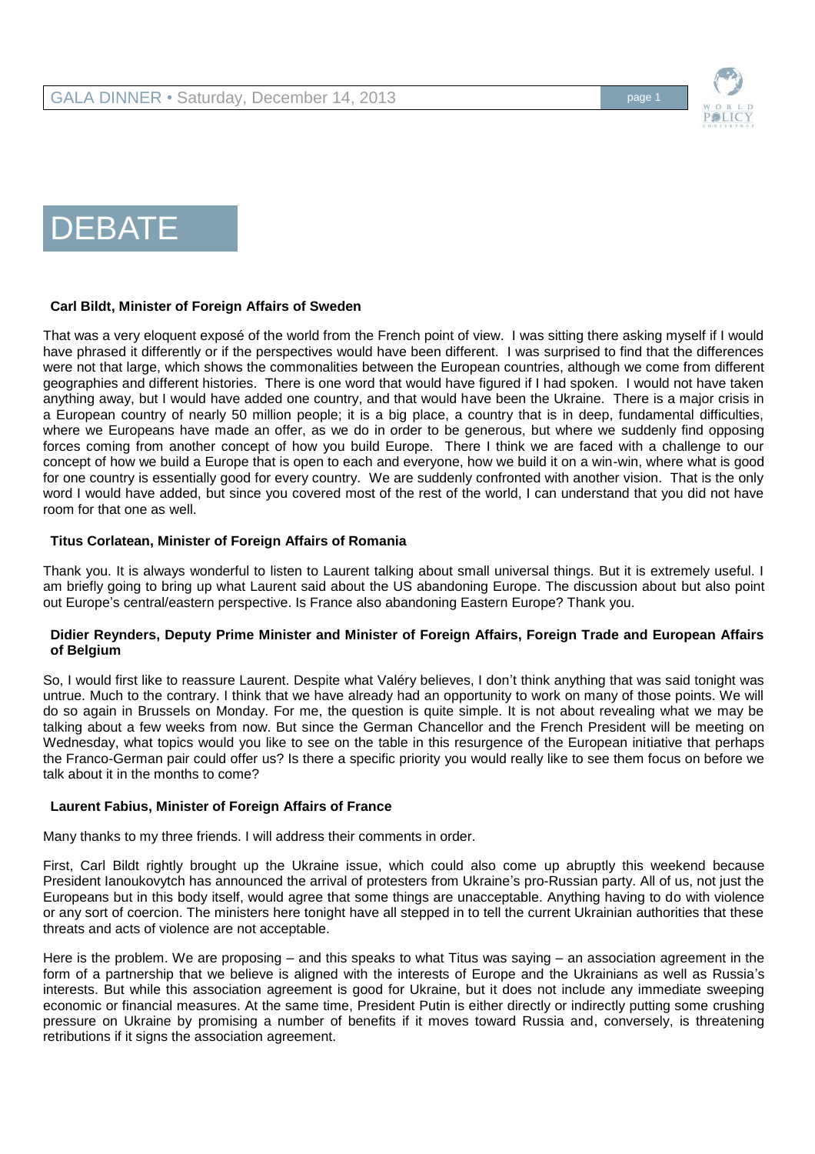

# DEBATE

### **Carl Bildt, Minister of Foreign Affairs of Sweden**

That was a very eloquent exposé of the world from the French point of view. I was sitting there asking myself if I would have phrased it differently or if the perspectives would have been different. I was surprised to find that the differences were not that large, which shows the commonalities between the European countries, although we come from different geographies and different histories. There is one word that would have figured if I had spoken. I would not have taken anything away, but I would have added one country, and that would have been the Ukraine. There is a major crisis in a European country of nearly 50 million people; it is a big place, a country that is in deep, fundamental difficulties, where we Europeans have made an offer, as we do in order to be generous, but where we suddenly find opposing forces coming from another concept of how you build Europe. There I think we are faced with a challenge to our concept of how we build a Europe that is open to each and everyone, how we build it on a win-win, where what is good for one country is essentially good for every country. We are suddenly confronted with another vision. That is the only word I would have added, but since you covered most of the rest of the world, I can understand that you did not have room for that one as well.

#### **Titus Corlatean, Minister of Foreign Affairs of Romania**

Thank you. It is always wonderful to listen to Laurent talking about small universal things. But it is extremely useful. I am briefly going to bring up what Laurent said about the US abandoning Europe. The discussion about but also point out Europe's central/eastern perspective. Is France also abandoning Eastern Europe? Thank you.

### **Didier Reynders, Deputy Prime Minister and Minister of Foreign Affairs, Foreign Trade and European Affairs of Belgium**

So, I would first like to reassure Laurent. Despite what Valéry believes, I don't think anything that was said tonight was untrue. Much to the contrary. I think that we have already had an opportunity to work on many of those points. We will do so again in Brussels on Monday. For me, the question is quite simple. It is not about revealing what we may be talking about a few weeks from now. But since the German Chancellor and the French President will be meeting on Wednesday, what topics would you like to see on the table in this resurgence of the European initiative that perhaps the Franco-German pair could offer us? Is there a specific priority you would really like to see them focus on before we talk about it in the months to come?

### **Laurent Fabius, Minister of Foreign Affairs of France**

Many thanks to my three friends. I will address their comments in order.

First, Carl Bildt rightly brought up the Ukraine issue, which could also come up abruptly this weekend because President Ianoukovytch has announced the arrival of protesters from Ukraine's pro-Russian party. All of us, not just the Europeans but in this body itself, would agree that some things are unacceptable. Anything having to do with violence or any sort of coercion. The ministers here tonight have all stepped in to tell the current Ukrainian authorities that these threats and acts of violence are not acceptable.

Here is the problem. We are proposing – and this speaks to what Titus was saying – an association agreement in the form of a partnership that we believe is aligned with the interests of Europe and the Ukrainians as well as Russia's interests. But while this association agreement is good for Ukraine, but it does not include any immediate sweeping economic or financial measures. At the same time, President Putin is either directly or indirectly putting some crushing pressure on Ukraine by promising a number of benefits if it moves toward Russia and, conversely, is threatening retributions if it signs the association agreement.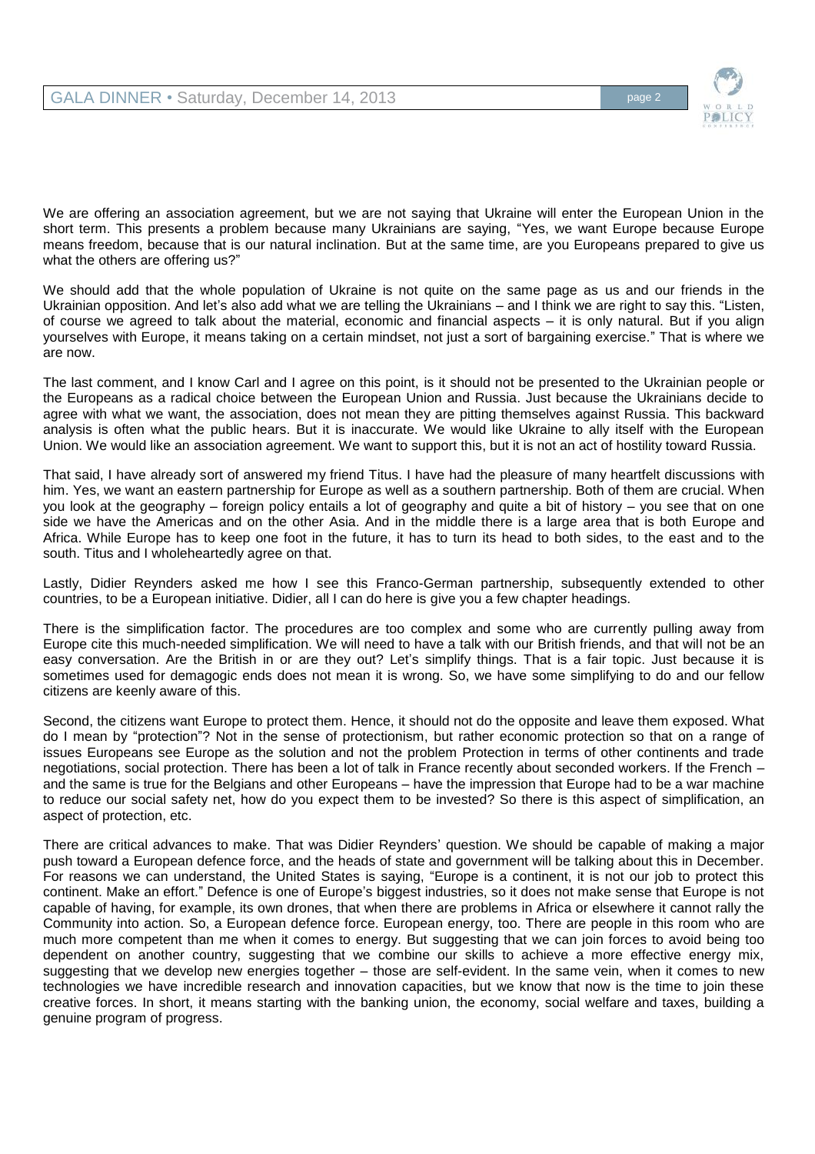

We are offering an association agreement, but we are not saying that Ukraine will enter the European Union in the short term. This presents a problem because many Ukrainians are saying, "Yes, we want Europe because Europe means freedom, because that is our natural inclination. But at the same time, are you Europeans prepared to give us what the others are offering us?"

We should add that the whole population of Ukraine is not quite on the same page as us and our friends in the Ukrainian opposition. And let's also add what we are telling the Ukrainians – and I think we are right to say this. "Listen, of course we agreed to talk about the material, economic and financial aspects – it is only natural. But if you align yourselves with Europe, it means taking on a certain mindset, not just a sort of bargaining exercise." That is where we are now.

The last comment, and I know Carl and I agree on this point, is it should not be presented to the Ukrainian people or the Europeans as a radical choice between the European Union and Russia. Just because the Ukrainians decide to agree with what we want, the association, does not mean they are pitting themselves against Russia. This backward analysis is often what the public hears. But it is inaccurate. We would like Ukraine to ally itself with the European Union. We would like an association agreement. We want to support this, but it is not an act of hostility toward Russia.

That said, I have already sort of answered my friend Titus. I have had the pleasure of many heartfelt discussions with him. Yes, we want an eastern partnership for Europe as well as a southern partnership. Both of them are crucial. When you look at the geography – foreign policy entails a lot of geography and quite a bit of history – you see that on one side we have the Americas and on the other Asia. And in the middle there is a large area that is both Europe and Africa. While Europe has to keep one foot in the future, it has to turn its head to both sides, to the east and to the south. Titus and I wholeheartedly agree on that.

Lastly, Didier Reynders asked me how I see this Franco-German partnership, subsequently extended to other countries, to be a European initiative. Didier, all I can do here is give you a few chapter headings.

There is the simplification factor. The procedures are too complex and some who are currently pulling away from Europe cite this much-needed simplification. We will need to have a talk with our British friends, and that will not be an easy conversation. Are the British in or are they out? Let's simplify things. That is a fair topic. Just because it is sometimes used for demagogic ends does not mean it is wrong. So, we have some simplifying to do and our fellow citizens are keenly aware of this.

Second, the citizens want Europe to protect them. Hence, it should not do the opposite and leave them exposed. What do I mean by "protection"? Not in the sense of protectionism, but rather economic protection so that on a range of issues Europeans see Europe as the solution and not the problem Protection in terms of other continents and trade negotiations, social protection. There has been a lot of talk in France recently about seconded workers. If the French – and the same is true for the Belgians and other Europeans – have the impression that Europe had to be a war machine to reduce our social safety net, how do you expect them to be invested? So there is this aspect of simplification, an aspect of protection, etc.

There are critical advances to make. That was Didier Reynders' question. We should be capable of making a major push toward a European defence force, and the heads of state and government will be talking about this in December. For reasons we can understand, the United States is saying, "Europe is a continent, it is not our job to protect this continent. Make an effort." Defence is one of Europe's biggest industries, so it does not make sense that Europe is not capable of having, for example, its own drones, that when there are problems in Africa or elsewhere it cannot rally the Community into action. So, a European defence force. European energy, too. There are people in this room who are much more competent than me when it comes to energy. But suggesting that we can join forces to avoid being too dependent on another country, suggesting that we combine our skills to achieve a more effective energy mix, suggesting that we develop new energies together – those are self-evident. In the same vein, when it comes to new technologies we have incredible research and innovation capacities, but we know that now is the time to join these creative forces. In short, it means starting with the banking union, the economy, social welfare and taxes, building a genuine program of progress.